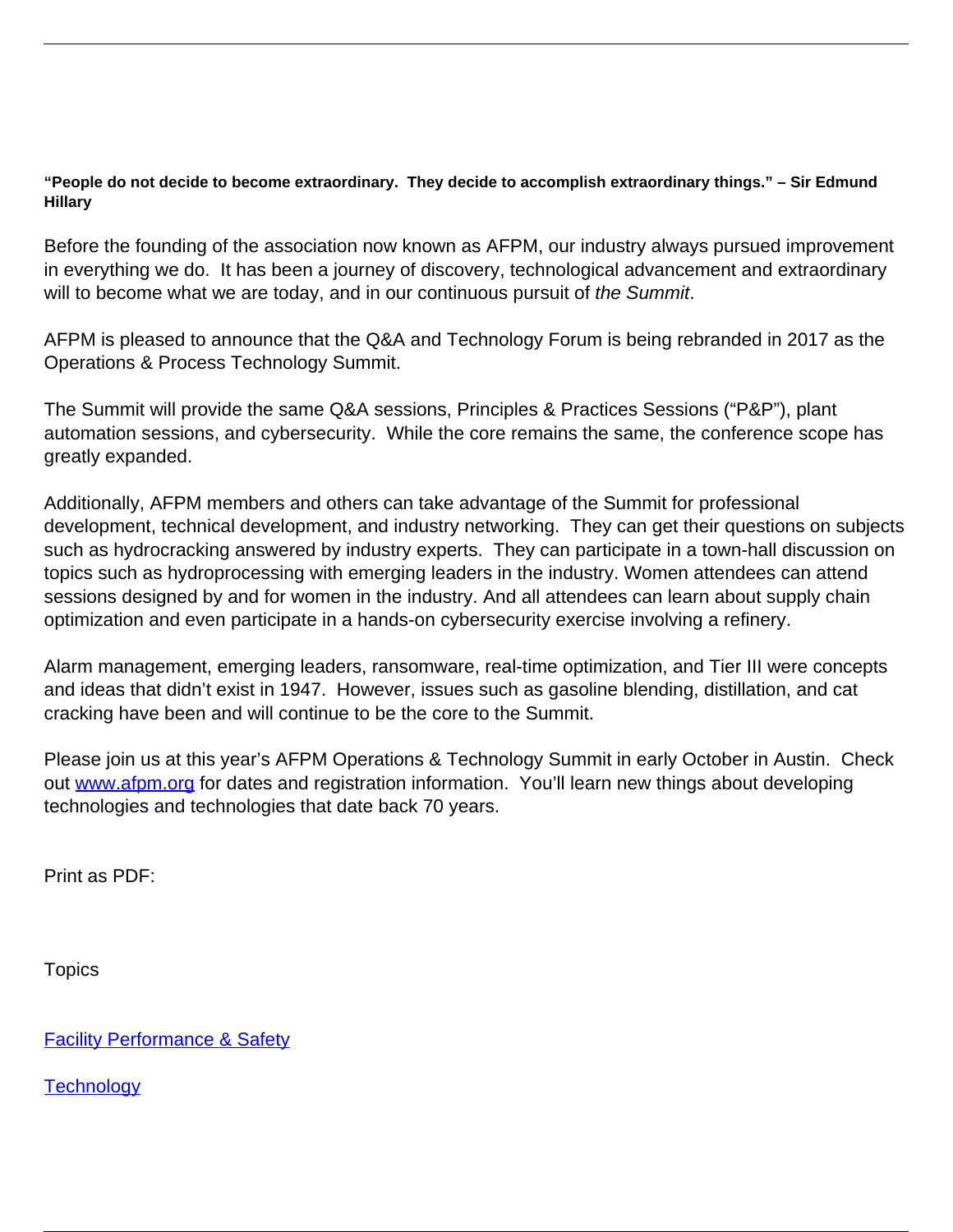## **"People do not decide to become extraordinary. They decide to accomplish extraordinary things." – Sir Edmund Hillary**

Before the founding of the association now known as AFPM, our industry always pursued improvement in everything we do. It has been a journey of discovery, technological advancement and extraordinary will to become what we are today, and in our continuous pursuit of the Summit.

AFPM is pleased to announce that the Q&A and Technology Forum is being rebranded in 2017 as the Operations & Process Technology Summit.

The Summit will provide the same Q&A sessions, Principles & Practices Sessions ("P&P"), plant automation sessions, and cybersecurity. While the core remains the same, the conference scope has greatly expanded.

Additionally, AFPM members and others can take advantage of the Summit for professional development, technical development, and industry networking. They can get their questions on subjects such as hydrocracking answered by industry experts. They can participate in a town-hall discussion on topics such as hydroprocessing with emerging leaders in the industry. Women attendees can attend sessions designed by and for women in the industry. And all attendees can learn about supply chain optimization and even participate in a hands-on cybersecurity exercise involving a refinery.

Alarm management, emerging leaders, ransomware, real-time optimization, and Tier III were concepts and ideas that didn't exist in 1947. However, issues such as gasoline blending, distillation, and cat cracking have been and will continue to be the core to the Summit.

Please join us at this year's AFPM Operations & Technology Summit in early October in Austin. Check out [www.afpm.org](http://www.afpm.org/) for dates and registration information. You'll learn new things about developing technologies and technologies that date back 70 years.

Print as PDF:

**Topics** 

**[Facility Performance & Safety](/topic/facility-performance-safety)** 

**[Technology](/topic/technology)**